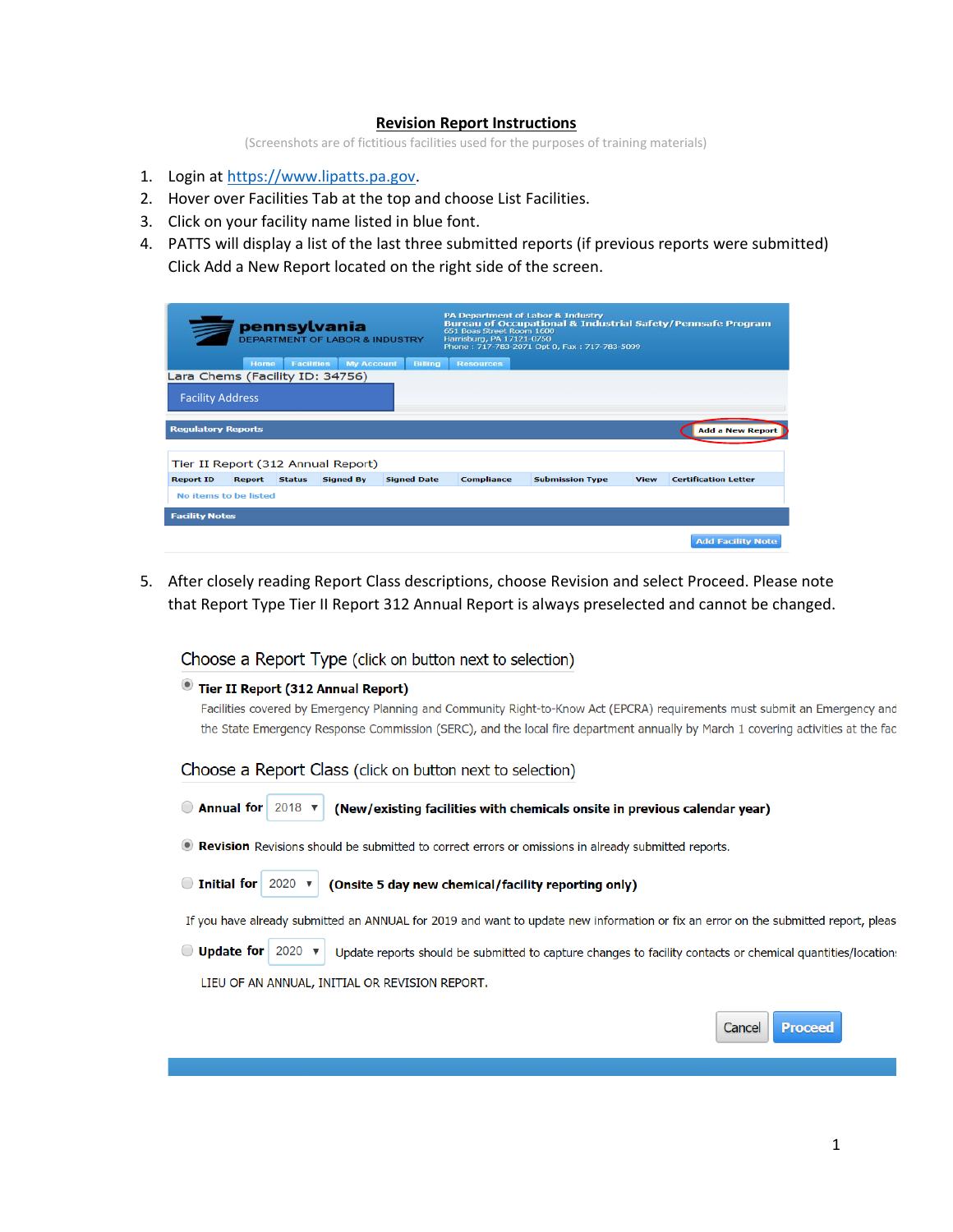## **Revision Report Instructions**

(Screenshots are of fictitious facilities used for the purposes of training materials)

- 1. Login at [https://www.lipatts.pa.gov.](https://www.lipatts.pa.gov/)
- 2. Hover over Facilities Tab at the top and choose List Facilities.
- 3. Click on your facility name listed in blue font.
- 4. PATTS will display a list of the last three submitted reports (if previous reports were submitted) Click Add a New Report located on the right side of the screen.

| pennsylvania<br><b>DEPARTMENT OF LABOR &amp; INDUSTRY</b> |               |                   |                                    | <b>PA Department of Labor &amp; Industry</b><br><b>Bureau of Occupational &amp; Industrial Safety/Pennsafe Program</b><br>651 Boas Street Room 1600<br>Harrisburg, PA 17121-0750<br>Phone: 717-783-2071 Opt 0, Fax: 717-783-5099 |                   |                        |             |                             |
|-----------------------------------------------------------|---------------|-------------------|------------------------------------|----------------------------------------------------------------------------------------------------------------------------------------------------------------------------------------------------------------------------------|-------------------|------------------------|-------------|-----------------------------|
|                                                           | Home          | <b>Facilities</b> | <b>My Account</b>                  | <b>Billing</b>                                                                                                                                                                                                                   | <b>Resources</b>  |                        |             |                             |
| Lara Chems (Facility ID: 34756)                           |               |                   |                                    |                                                                                                                                                                                                                                  |                   |                        |             |                             |
| <b>Facility Address</b>                                   |               |                   |                                    |                                                                                                                                                                                                                                  |                   |                        |             |                             |
| <b>Regulatory Reports</b>                                 |               |                   |                                    |                                                                                                                                                                                                                                  |                   |                        |             | <b>Add a New Report</b>     |
|                                                           |               |                   | Tier II Report (312 Annual Report) |                                                                                                                                                                                                                                  |                   |                        |             |                             |
| <b>Report ID</b>                                          | <b>Report</b> | <b>Status</b>     | <b>Signed By</b>                   | <b>Signed Date</b>                                                                                                                                                                                                               | <b>Compliance</b> | <b>Submission Type</b> | <b>View</b> | <b>Certification Letter</b> |
| No items to be listed                                     |               |                   |                                    |                                                                                                                                                                                                                                  |                   |                        |             |                             |
| <b>Facility Notes</b>                                     |               |                   |                                    |                                                                                                                                                                                                                                  |                   |                        |             |                             |
|                                                           |               |                   |                                    |                                                                                                                                                                                                                                  |                   |                        |             | <b>Add Facility Note</b>    |

5. After closely reading Report Class descriptions, choose Revision and select Proceed. Please note that Report Type Tier II Report 312 Annual Report is always preselected and cannot be changed.

Choose a Report Type (click on button next to selection)

| Tier II Report (312 Annual Report)                                                                                               |
|----------------------------------------------------------------------------------------------------------------------------------|
| Facilities covered by Emergency Planning and Community Right-to-Know Act (EPCRA) requirements must submit an Emergency and       |
| the State Emergency Response Commission (SERC), and the local fire department annually by March 1 covering activities at the fac |
| Choose a Report Class (click on button next to selection)                                                                        |

| $\bigcirc$ Annual for 2018 $\blacktriangledown$<br>(New/existing facilities with chemicals onsite in previous calendar year)                       |  |  |  |  |  |  |
|----------------------------------------------------------------------------------------------------------------------------------------------------|--|--|--|--|--|--|
| <b>•• Revision</b> Revisions should be submitted to correct errors or omissions in already submitted reports.                                      |  |  |  |  |  |  |
| $\bigcirc$ Initial for 2020 $\times$<br>(Onsite 5 day new chemical/facility reporting only)                                                        |  |  |  |  |  |  |
| If you have already submitted an ANNUAL for 2019 and want to update new information or fix an error on the submitted report, pleas                 |  |  |  |  |  |  |
| $\bigcirc$ Update for 2020 $\times$<br>Update reports should be submitted to capture changes to facility contacts or chemical quantities/location: |  |  |  |  |  |  |
| LIEU OF AN ANNUAL, INITIAL OR REVISION REPORT.                                                                                                     |  |  |  |  |  |  |
| Cancel<br><b>Proceed</b>                                                                                                                           |  |  |  |  |  |  |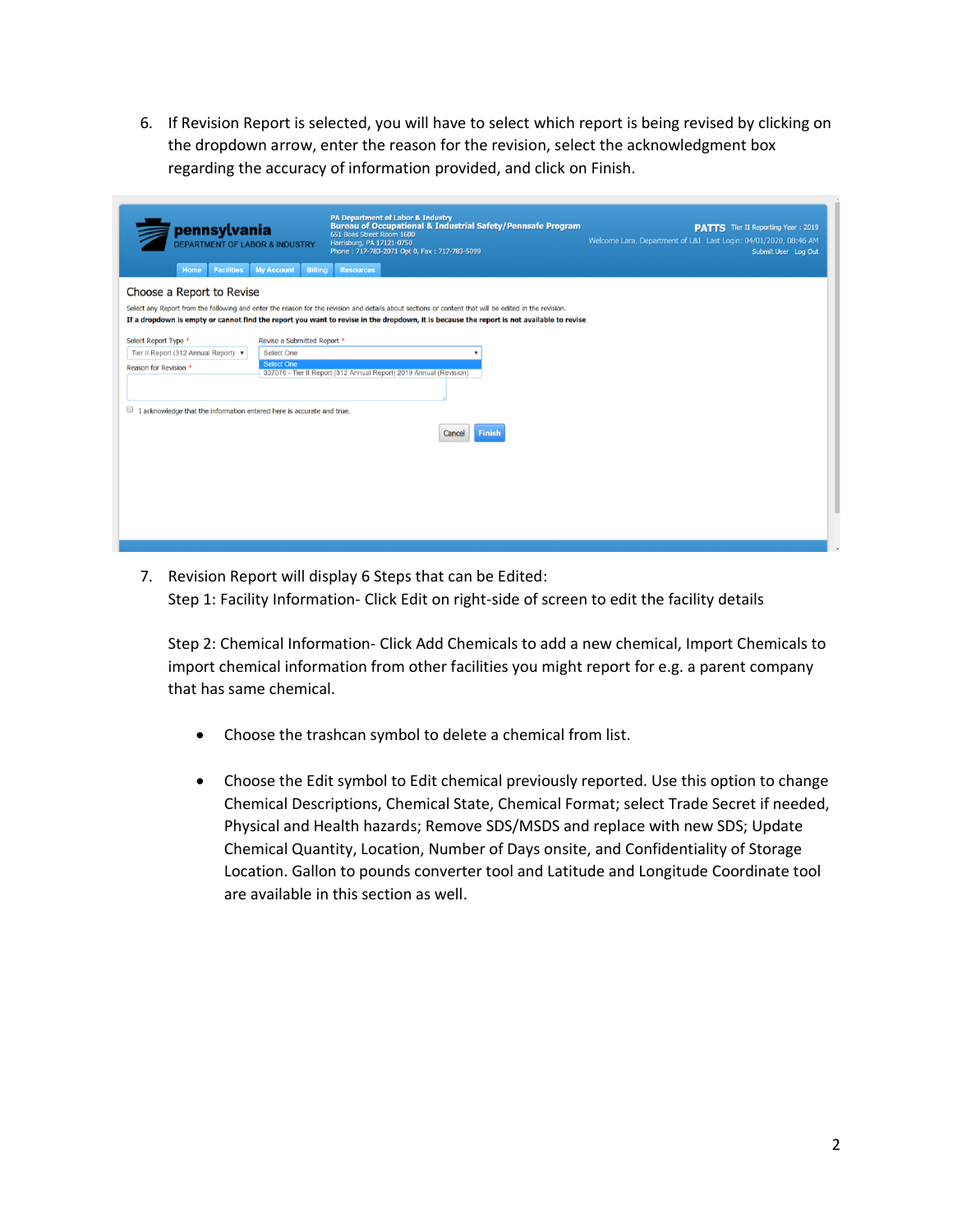6. If Revision Report is selected, you will have to select which report is being revised by clicking on the dropdown arrow, enter the reason for the revision, select the acknowledgment box regarding the accuracy of information provided, and click on Finish.

| pennsylvania<br><b>DEPARTMENT OF LABOR &amp; INDUSTRY</b><br><b>My Account</b><br><b>Facilities</b><br>Home                                                    | <b>PA Department of Labor &amp; Industry</b><br><b>Bureau of Occupational &amp; Industrial Safety/Pennsafe Program</b><br>651 Boas Street Room 1600<br>Harrisburg, PA 17121-0750<br>Phone: 717-783-2071 Opt 0, Fax: 717-783-5099<br><b>Billing</b><br><b>Resources</b>                            | <b>PATTS</b> Tier II Reporting Year: 2019<br>Welcome Lara, Department of L&I Last Login: 04/01/2020, 08:46 AM<br>Submit User Log Out |
|----------------------------------------------------------------------------------------------------------------------------------------------------------------|---------------------------------------------------------------------------------------------------------------------------------------------------------------------------------------------------------------------------------------------------------------------------------------------------|--------------------------------------------------------------------------------------------------------------------------------------|
| Choose a Report to Revise                                                                                                                                      | Select any Report from the following and enter the reason for the revision and details about sections or content that will be edited in the revision.<br>If a dropdown is empty or cannot find the report you want to revise in the dropdown, it is because the report is not available to revise |                                                                                                                                      |
| Select Report Type *<br>Revise a Submitted Report *<br>Tier II Report (312 Annual Report) ▼<br><b>Select One</b><br><b>Select One</b><br>Reason for Revision * |                                                                                                                                                                                                                                                                                                   |                                                                                                                                      |
|                                                                                                                                                                | 337076 - Tier II Report (312 Annual Report) 2019 Annual (Revision)                                                                                                                                                                                                                                |                                                                                                                                      |
| O<br>I acknowledge that the information entered here is accurate and true.                                                                                     | <b>Finish</b><br>Cancel                                                                                                                                                                                                                                                                           |                                                                                                                                      |
|                                                                                                                                                                |                                                                                                                                                                                                                                                                                                   |                                                                                                                                      |
|                                                                                                                                                                |                                                                                                                                                                                                                                                                                                   |                                                                                                                                      |
|                                                                                                                                                                |                                                                                                                                                                                                                                                                                                   |                                                                                                                                      |

7. Revision Report will display 6 Steps that can be Edited: Step 1: Facility Information- Click Edit on right-side of screen to edit the facility details

Step 2: Chemical Information- Click Add Chemicals to add a new chemical, Import Chemicals to import chemical information from other facilities you might report for e.g. a parent company that has same chemical.

- Choose the trashcan symbol to delete a chemical from list.
- Choose the Edit symbol to Edit chemical previously reported. Use this option to change Chemical Descriptions, Chemical State, Chemical Format; select Trade Secret if needed, Physical and Health hazards; Remove SDS/MSDS and replace with new SDS; Update Chemical Quantity, Location, Number of Days onsite, and Confidentiality of Storage Location. Gallon to pounds converter tool and Latitude and Longitude Coordinate tool are available in this section as well.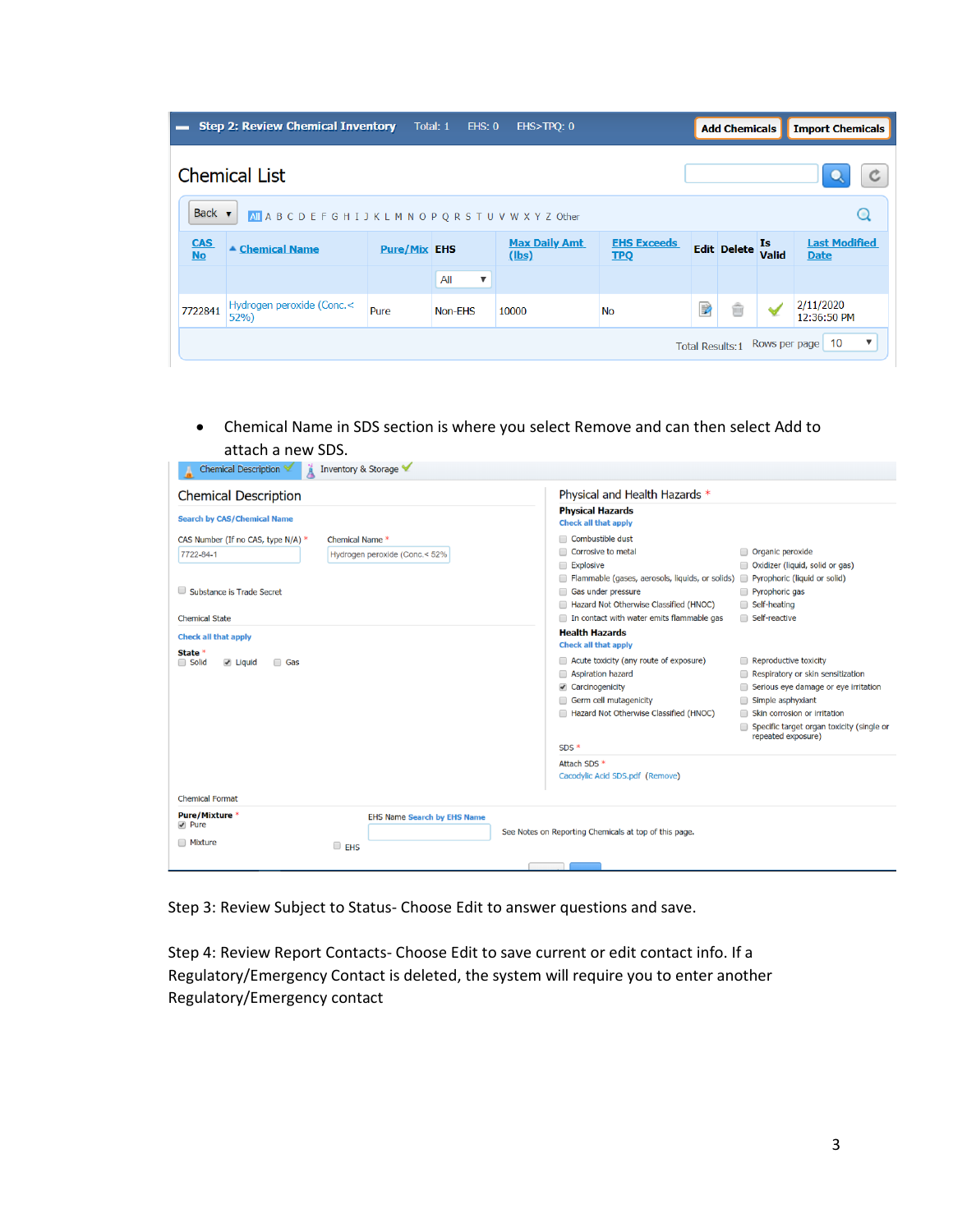| -                                                                                               | <b>Step 2: Review Chemical Inventory</b> | Total: 1            | EHS: 0                         | EHS>TPQ: 0                    |                                  |   | <b>Add Chemicals</b> |             | <b>Import Chemicals</b>             |
|-------------------------------------------------------------------------------------------------|------------------------------------------|---------------------|--------------------------------|-------------------------------|----------------------------------|---|----------------------|-------------|-------------------------------------|
| <b>Chemical List</b>                                                                            |                                          |                     |                                |                               |                                  |   |                      |             |                                     |
| Back $\blacktriangledown$<br>Q<br>All A B C D E F G H I J K L M N O P Q R S T U V W X Y Z Other |                                          |                     |                                |                               |                                  |   |                      |             |                                     |
| <b>CAS</b><br><b>No</b>                                                                         | ▲ Chemical Name                          | <b>Pure/Mix EHS</b> |                                | <b>Max Daily Amt</b><br>(lbs) | <b>EHS Exceeds</b><br><b>TPQ</b> |   | <b>Edit Delete</b>   | Is<br>Valid | <b>Last Modified</b><br><b>Date</b> |
|                                                                                                 |                                          |                     | All<br>$\overline{\mathbf{v}}$ |                               |                                  |   |                      |             |                                     |
| 7722841                                                                                         | Hydrogen peroxide (Conc.<<br>52%         | Pure                | Non-EHS                        | 10000                         | <b>No</b>                        | ₽ | ŵ                    |             | 2/11/2020<br>12:36:50 PM            |
| ▼<br>10<br>Rows per page<br><b>Total Results:1</b>                                              |                                          |                     |                                |                               |                                  |   |                      |             |                                     |

• Chemical Name in SDS section is where you select Remove and can then select Add to attach a new SDS.

| Inventory & Storage<br>Chemical Description                                                                                                               |                                                                                                                                                                                                                                                                                                                                                                                                                                                                                                       |  |  |  |  |
|-----------------------------------------------------------------------------------------------------------------------------------------------------------|-------------------------------------------------------------------------------------------------------------------------------------------------------------------------------------------------------------------------------------------------------------------------------------------------------------------------------------------------------------------------------------------------------------------------------------------------------------------------------------------------------|--|--|--|--|
| <b>Chemical Description</b>                                                                                                                               | Physical and Health Hazards *                                                                                                                                                                                                                                                                                                                                                                                                                                                                         |  |  |  |  |
| <b>Search by CAS/Chemical Name</b>                                                                                                                        | <b>Physical Hazards</b><br><b>Check all that apply</b>                                                                                                                                                                                                                                                                                                                                                                                                                                                |  |  |  |  |
| CAS Number (If no CAS, type N/A) *<br>Chemical Name *<br>7722-84-1<br>Hydrogen peroxide (Conc.< 52%<br>Substance is Trade Secret<br><b>Chemical State</b> | Combustible dust<br>Corrosive to metal<br>Organic peroxide<br>Explosive<br>Oxidizer (liquid, solid or gas)<br>Flammable (gases, aerosols, liquids, or solids) Pyrophoric (liquid or solid)<br>Gas under pressure<br>Pyrophoric gas<br>Hazard Not Otherwise Classified (HNOC)<br>Self-heating<br>Self-reactive<br>In contact with water emits flammable gas                                                                                                                                            |  |  |  |  |
| <b>Check all that apply</b><br>State *<br>□ Solid<br>$\vee$ Liquid<br>□ Gas                                                                               | <b>Health Hazards</b><br><b>Check all that apply</b><br>Acute toxicity (any route of exposure)<br>Reproductive toxicity<br>Aspiration hazard<br>Respiratory or skin sensitization<br>Carcinogenicity<br>Serious eye damage or eye irritation<br>Germ cell mutagenicity<br>Simple asphyxiant<br>Hazard Not Otherwise Classified (HNOC)<br>Skin corrosion or irritation<br>Specific target organ toxicity (single or<br>repeated exposure)<br>$SDS*$<br>Attach SDS *<br>Cacodylic Acid SDS.pdf (Remove) |  |  |  |  |
| <b>Chemical Format</b><br>Pure/Mixture *<br><b>EHS Name Search by EHS Name</b><br>$\blacktriangleright$ Pure<br><b>Mixture</b><br>$\Box$ EHS              | See Notes on Reporting Chemicals at top of this page.                                                                                                                                                                                                                                                                                                                                                                                                                                                 |  |  |  |  |

Step 3: Review Subject to Status- Choose Edit to answer questions and save.

Step 4: Review Report Contacts- Choose Edit to save current or edit contact info. If a Regulatory/Emergency Contact is deleted, the system will require you to enter another Regulatory/Emergency contact